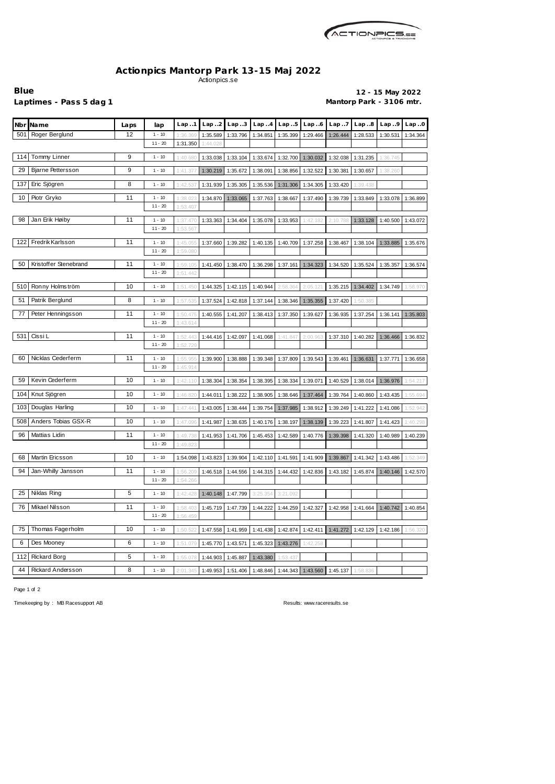

## **Actionpics Mantorp Park 13-15 Maj 2022** Actionpics.se

**Blue 12 - 15 May 2022 Laptimes - Pass 5 dag 1 Mantorp Park - 3106 mtr.**

| Nbr Name                       | Laps | lap       | Lap.1    | Lap.2    | Lap.3    | Lap.4    | Lap.5    | Lap.6    | Lap. .7  | Lap.8    | Lap.9    | Lap.0    |
|--------------------------------|------|-----------|----------|----------|----------|----------|----------|----------|----------|----------|----------|----------|
| Roger Berglund<br>501          | 12   | $1 - 10$  | 1:36.36  | 1:35.589 | 1:33.796 | 1:34.851 | 1:35.399 | 1:29.466 | 1:26.444 | 1:28.533 | 1:30.531 | 1:34.364 |
|                                |      | $11 - 20$ | 1:31.350 | 1:44.028 |          |          |          |          |          |          |          |          |
| Tommy Linner<br>114            | 9    | $1 - 10$  | 1:40.68  | 1:33.038 | 1:33.104 | 1:33.674 | 1:32.700 | 1:30.032 | 1:32.038 | 1:31.235 | 1:36.745 |          |
| <b>Bjarne Pettersson</b><br>29 | 9    | $1 - 10$  | 1:41.37  | 1:30.219 | 1:35.672 | 1:38.091 | 1:38.856 | 1:32.522 | 1:30.381 | 1:30.657 | 1:38.260 |          |
| Eric Sjögren<br>137            | 8    | $1 - 10$  | 1:42.53  | 1:31.939 | 1:35.305 | 1:35.536 | 1:31.306 | 1:34.305 | 1:33.420 | 1:39.438 |          |          |
| Piotr Gryko<br>10              | 11   | $1 - 10$  | 1:38.02  | 1:34.870 | 1:33.065 | 1:37.763 | 1:38.667 | 1:37.490 | 1:39.739 | 1:33.849 | 1:33.078 | 1:36.899 |
|                                |      | $11 - 20$ | 1:53.407 |          |          |          |          |          |          |          |          |          |
| Jan Erik Høiby<br>98           | 11   | $1 - 10$  | 1:37.470 | 1:33.363 | 1:34.404 | 1:35.078 | 1:33.953 | 1:42.182 | 2:10.78  | 1:33.128 | 1:40.500 | 1:43.072 |
|                                |      | $11 - 20$ | 1:53.56  |          |          |          |          |          |          |          |          |          |
| Fredrik Karlsson<br>122        | 11   | $1 - 10$  | 1:45.05  | 1:37.660 | 1:39.282 | 1:40.135 | 1:40.709 | 1:37.258 | 1:38.467 | 1:38.104 | 1:33.885 | 1:35.676 |
|                                |      | $11 - 20$ | 1:59.080 |          |          |          |          |          |          |          |          |          |
| Kristoffer Stenebrand<br>50    | 11   | $1 - 10$  | 1:59.105 | 1:41.450 | 1:38.470 | 1:36.298 | 1:37.161 | 1:34.323 | 1:34.520 | 1:35.524 | 1:35.357 | 1:36.574 |
|                                |      | $11 - 20$ | 1:51.442 |          |          |          |          |          |          |          |          |          |
| Ronny Holmström<br>510         | 10   | $1 - 10$  | 1:51.45  | 1:44.325 | 1:42.115 | 1:40.944 | 2:58.364 | 2:05.121 | 1:35.215 | 1:34.402 | 1:34.749 | 1:58.970 |
| Patrik Berglund<br>51          | 8    | $1 - 10$  | 1:57.53  | 1:37.524 | 1:42.818 | 1:37.144 | 1:38.346 | 1:35.355 | 1:37.420 | 1:50.385 |          |          |
| 77<br>Peter Henningsson        | 11   | $1 - 10$  | 1:50.47  | 1:40.555 | 1:41.207 | 1:38.413 | 1:37.350 | 1:39.627 | 1:36.935 | 1:37.254 | 1:36.141 | 1:35.803 |
|                                |      | $11 - 20$ | 1:43.614 |          |          |          |          |          |          |          |          |          |
| Cissi L<br>531                 | 11   | $1 - 10$  | 1:52.443 | 1:44.416 | 1:42.097 | 1:41.068 | 1:41.847 | 2:00.96  | 1:37.310 | 1:40.282 | 1:36.466 | 1:36.832 |
|                                |      | $11 - 20$ | 1:52.729 |          |          |          |          |          |          |          |          |          |
| Nicklas Cederferm<br>60        | 11   | $1 - 10$  | 1:55.95  | 1:39.900 | 1:38.888 | 1:39.348 | 1:37.809 | 1:39.543 | 1:39.461 | 1:36.631 | 1:37.771 | 1:36.658 |
|                                |      | $11 - 20$ | 1:45.914 |          |          |          |          |          |          |          |          |          |
| Kevin Cederferm<br>59          | 10   | $1 - 10$  | 1:42.110 | 1:38.304 | 1:38.354 | 1:38.395 | 1:38.334 | 1:39.071 | 1:40.529 | 1:38.014 | 1:36.976 | 1:54.217 |
| Knut Sjögren<br>104            | 10   | $1 - 10$  | 1:46.82  | 1:44.011 | 1:38.222 | 1:38.905 | 1:38.646 | 1:37.464 | 1:39.764 | 1:40.860 | 1:43.435 | 1:55.694 |
| Douglas Harling<br>103         | 10   | $1 - 10$  | 1:47.44  | 1:43.005 | 1:38.444 | 1:39.754 | 1:37.985 | 1:38.912 | 1:39.249 | 1:41.222 | 1:41.086 | 1:52.942 |
| Anders Tobias GSX-R<br>508     | 10   | $1 - 10$  | 1:47.096 | 1:41.987 | 1:38.635 | 1:40.176 | 1:38.197 | 1:38.139 | 1:39.223 | 1:41.807 | 1:41.423 | 1:40.298 |
| Mattias Lidin<br>96            | 11   | $1 - 10$  | 1:49.738 | 1:41.953 | 1:41.706 | 1:45.453 | 1:42.589 | 1:40.776 | 1:39.398 | 1:41.320 | 1:40.989 | 1:40.239 |
|                                |      | $11 - 20$ | 1:49.823 |          |          |          |          |          |          |          |          |          |
| Martin Ericsson<br>68          | 10   | $1 - 10$  | 1:54.098 | 1:43.823 | 1:39.904 | 1:42.110 | 1:41.591 | 1:41.909 | 1:39.867 | 1:41.342 | 1:43.486 | 1:52.349 |
| 94<br>Jan-Whilly Jansson       | 11   | $1 - 10$  | 1:56.209 | 1:46.518 | 1:44.556 | 1:44.315 | 1:44.432 | 1:42.836 | 1:43.182 | 1:45.874 | 1:40.146 | 1:42.570 |
|                                |      | $11 - 20$ | 1:54.266 |          |          |          |          |          |          |          |          |          |
| Niklas Ring<br>25              | 5    | $1 - 10$  | 1:42.428 | 1:40.148 | 1:47.799 | 3:25.354 | 3:21.092 |          |          |          |          |          |
| 76<br>Mikael Nilsson           | 11   | $1 - 10$  | 1:58.40  | 1:45.719 | 1:47.739 | 1:44.222 | 1:44.259 | 1:42.327 | 1:42.958 | 1:41.664 | 1:40.742 | 1:40.854 |
|                                |      | $11 - 20$ | 1:56.459 |          |          |          |          |          |          |          |          |          |
| Thomas Fagerholm<br>75         | 10   | $1 - 10$  | 1:50.522 | 1:47.558 | 1:41.959 | 1:41.438 | 1:42.874 | 1:42.411 | 1:41.272 | 1:42.129 | 1:42.186 | 1:56.320 |
| 6<br>Des Mooney                | 6    | $1 - 10$  | 1:51.079 | 1:45.770 | 1:43.571 | 1:45.323 | 1:43.276 | 1:42.258 |          |          |          |          |
| 112<br><b>Rickard Borg</b>     | 5    | $1 - 10$  | 1:55.078 | 1:44.903 | 1:45.887 | 1:43.380 | 1:53.437 |          |          |          |          |          |
|                                |      |           |          |          |          |          |          |          |          |          |          |          |
| <b>Rickard Andersson</b><br>44 | 8    | $1 - 10$  | 2:01.345 | 1:49.953 | 1:51.406 | 1:48.846 | 1:44.343 | 1:43.560 | 1:45.137 | 1:58.836 |          |          |

Page 1 of 2

Timekeeping by : MB Racesupport AB **Results: <www.raceresults.se>**